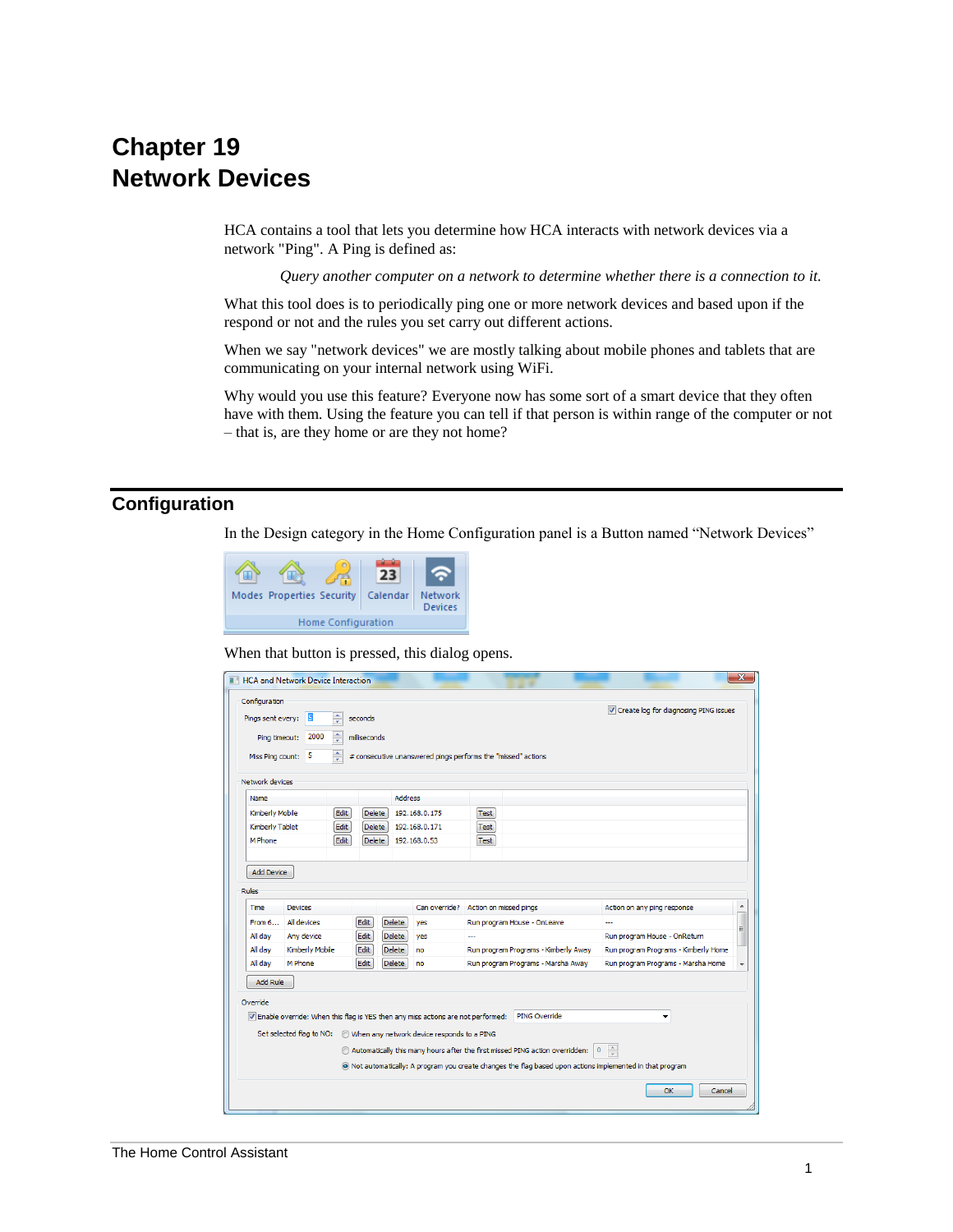# **Chapter 19 Network Devices**

HCA contains a tool that lets you determine how HCA interacts with network devices via a network "Ping". A Ping is defined as:

*Query another computer on a network to determine whether there is a connection to it.*

What this tool does is to periodically ping one or more network devices and based upon if the respond or not and the rules you set carry out different actions.

When we say "network devices" we are mostly talking about mobile phones and tablets that are communicating on your internal network using WiFi.

Why would you use this feature? Everyone now has some sort of a smart device that they often have with them. Using the feature you can tell if that person is within range of the computer or not – that is, are they home or are they not home?

## **Configuration**

In the Design category in the Home Configuration panel is a Button named "Network Devices"



#### When that button is pressed, this dialog opens.

|                                                     |                                                                          | <b>HCA and Network Device Interaction</b> |                                   |                                                              |             |                                                                                                             |                                         | ×              |
|-----------------------------------------------------|--------------------------------------------------------------------------|-------------------------------------------|-----------------------------------|--------------------------------------------------------------|-------------|-------------------------------------------------------------------------------------------------------------|-----------------------------------------|----------------|
| Configuration<br>Pinas sent every:<br>Ping timeout: | $\div$<br>5<br>$\frac{1}{x}$<br>2000                                     | seconds<br>milliseconds                   |                                   |                                                              |             |                                                                                                             | V Create log for diagnosing PING issues |                |
| Miss Ping count:                                    | ÷<br>5                                                                   |                                           |                                   | # consecutive unanswered pings performs the "missed" actions |             |                                                                                                             |                                         |                |
| Network devices                                     |                                                                          |                                           |                                   |                                                              |             |                                                                                                             |                                         |                |
| Name                                                |                                                                          |                                           | <b>Address</b>                    |                                                              |             |                                                                                                             |                                         |                |
|                                                     | Kimberly Mobile<br>Edit                                                  |                                           | <b>Delete</b><br>192, 168, 0, 175 |                                                              | <b>Test</b> |                                                                                                             |                                         |                |
|                                                     | Edit<br>Kimberly Tablet                                                  |                                           | 192, 168, 0, 171<br><b>Delete</b> |                                                              | Test        |                                                                                                             |                                         |                |
| M Phone                                             | Edit                                                                     | <b>Delete</b>                             |                                   | 192, 168, 0, 53                                              | <b>Test</b> |                                                                                                             |                                         |                |
| <b>Time</b><br>From 6                               | <b>Devices</b><br>All devices                                            | Edit                                      | <b>Delete</b>                     | Can override?<br>ves                                         |             | Action on missed pings<br>Run program House - OnLeave                                                       | Action on any ping response<br>---      | $\overline{a}$ |
| All day                                             | Any device                                                               | Edit                                      | <b>Delete</b>                     | ves                                                          | ---         |                                                                                                             | Run program House - OnReturn            |                |
| All day                                             | Kimberly Mobile                                                          | Edit                                      | <b>Delete</b>                     | no                                                           |             | Run program Programs - Kimberly Away                                                                        | Run program Programs - Kimberly Home    |                |
| All day                                             | M Phone                                                                  | Edit                                      | <b>Delete</b>                     | no                                                           |             | Run program Programs - Marsha Away                                                                          | Run program Programs - Marsha Home      |                |
|                                                     |                                                                          |                                           |                                   |                                                              |             |                                                                                                             |                                         |                |
| <b>Add Rule</b>                                     |                                                                          |                                           |                                   |                                                              |             |                                                                                                             |                                         |                |
| Override                                            |                                                                          |                                           |                                   |                                                              |             |                                                                                                             |                                         |                |
|                                                     |                                                                          |                                           |                                   |                                                              |             | V Enable override: When this flag is YES then any miss actions are not performed: PING Override             |                                         |                |
|                                                     | Set selected flag to NO:  (b) When any network device responds to a PING |                                           |                                   |                                                              |             |                                                                                                             |                                         |                |
|                                                     |                                                                          |                                           |                                   |                                                              |             | Automatically this many hours after the first missed PING action overridden:                                | $\overline{0}$                          |                |
|                                                     |                                                                          |                                           |                                   |                                                              |             | (a) Not automatically: A program you create changes the flag based upon actions implemented in that program | $\frac{1}{x}$                           |                |
|                                                     |                                                                          |                                           |                                   |                                                              |             |                                                                                                             | OK<br>Cancel                            |                |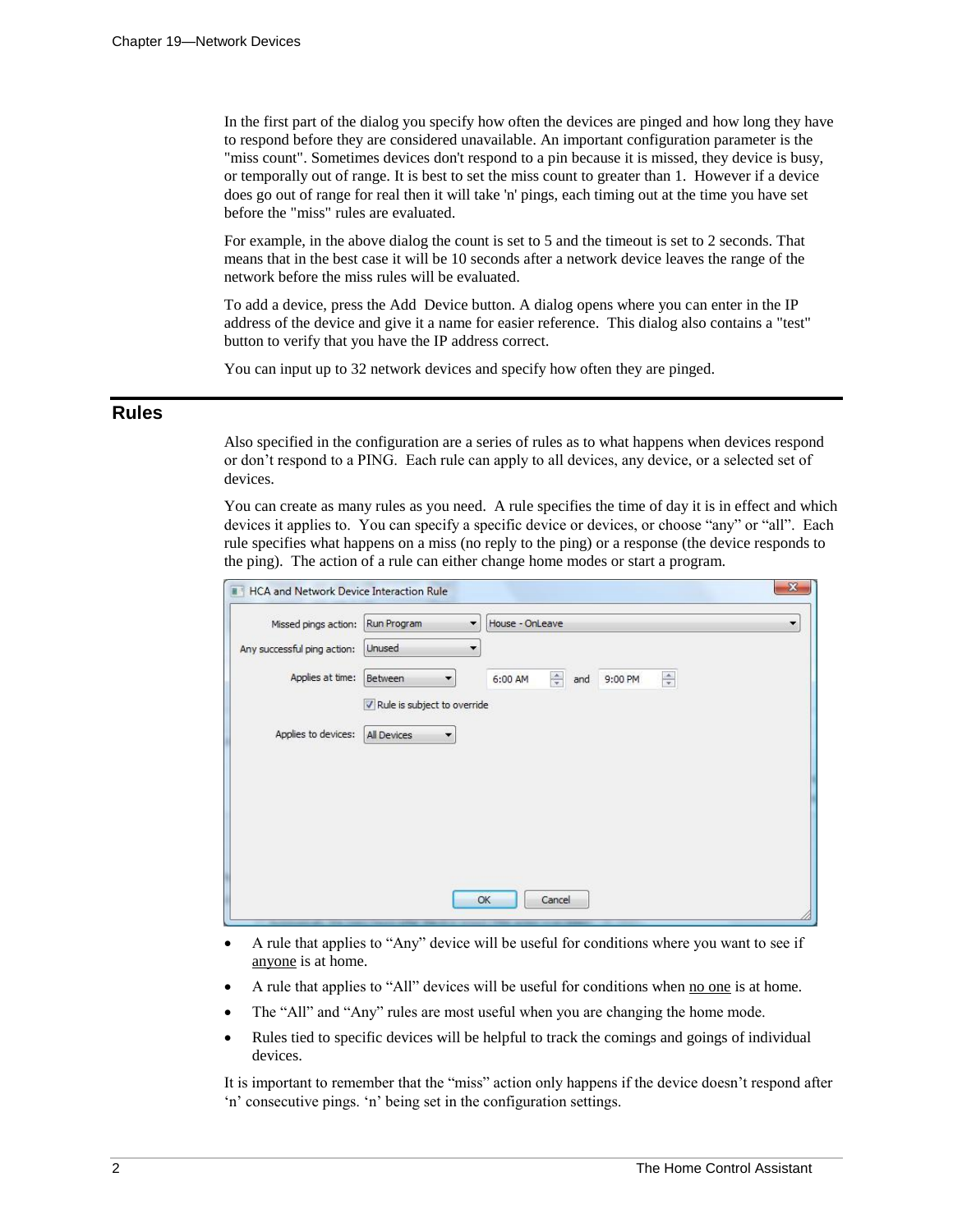In the first part of the dialog you specify how often the devices are pinged and how long they have to respond before they are considered unavailable. An important configuration parameter is the "miss count". Sometimes devices don't respond to a pin because it is missed, they device is busy, or temporally out of range. It is best to set the miss count to greater than 1. However if a device does go out of range for real then it will take 'n' pings, each timing out at the time you have set before the "miss" rules are evaluated.

For example, in the above dialog the count is set to 5 and the timeout is set to 2 seconds. That means that in the best case it will be 10 seconds after a network device leaves the range of the network before the miss rules will be evaluated.

To add a device, press the Add Device button. A dialog opens where you can enter in the IP address of the device and give it a name for easier reference. This dialog also contains a "test" button to verify that you have the IP address correct.

You can input up to 32 network devices and specify how often they are pinged.

### **Rules**

Also specified in the configuration are a series of rules as to what happens when devices respond or don't respond to a PING. Each rule can apply to all devices, any device, or a selected set of devices.

You can create as many rules as you need. A rule specifies the time of day it is in effect and which devices it applies to. You can specify a specific device or devices, or choose "any" or "all". Each rule specifies what happens on a miss (no reply to the ping) or a response (the device responds to the ping). The action of a rule can either change home modes or start a program.

| Missed pings action:        | Run Program                         | House - OnLeave<br>$\overline{\phantom{a}}$                                  |
|-----------------------------|-------------------------------------|------------------------------------------------------------------------------|
| Any successful ping action: | Unused                              | $\overline{\phantom{a}}$                                                     |
| Applies at time:            | Between<br>$\blacktriangledown$     | $\frac{\Delta}{\pi}$<br>$\frac{\triangle}{\pi}$<br>6:00 AM<br>9:00 PM<br>and |
|                             | V Rule is subject to override       |                                                                              |
| Applies to devices:         | All Devices<br>$\blacktriangledown$ |                                                                              |
|                             |                                     |                                                                              |
|                             |                                     |                                                                              |
|                             |                                     |                                                                              |
|                             |                                     |                                                                              |
|                             |                                     |                                                                              |
|                             |                                     |                                                                              |

- A rule that applies to "Any" device will be useful for conditions where you want to see if anyone is at home.
- A rule that applies to "All" devices will be useful for conditions when <u>no one</u> is at home.
- The "All" and "Any" rules are most useful when you are changing the home mode.
- Rules tied to specific devices will be helpful to track the comings and goings of individual devices.

It is important to remember that the "miss" action only happens if the device doesn't respond after 'n' consecutive pings. 'n' being set in the configuration settings.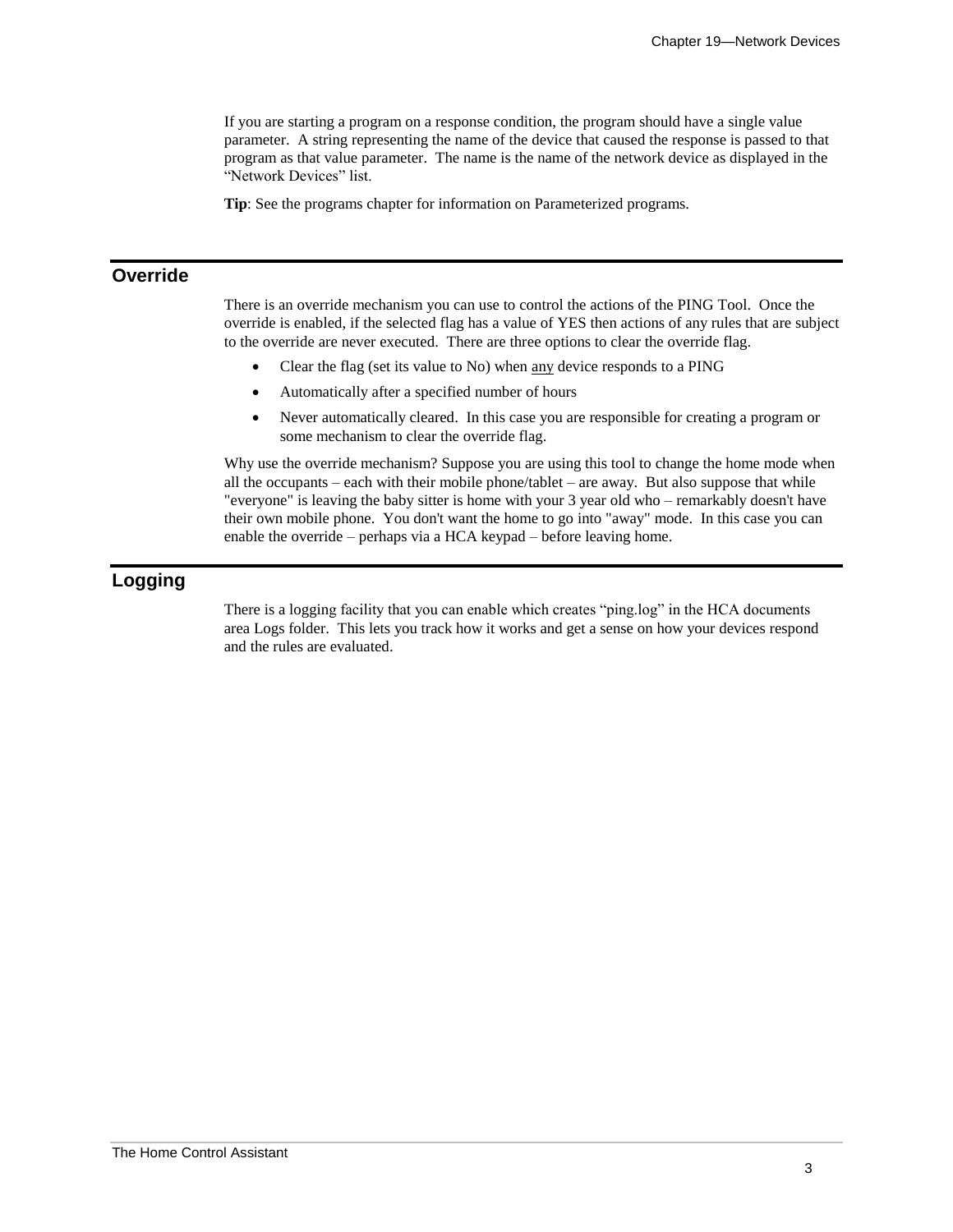If you are starting a program on a response condition, the program should have a single value parameter. A string representing the name of the device that caused the response is passed to that program as that value parameter. The name is the name of the network device as displayed in the "Network Devices" list.

**Tip**: See the programs chapter for information on Parameterized programs.

## **Override**

There is an override mechanism you can use to control the actions of the PING Tool. Once the override is enabled, if the selected flag has a value of YES then actions of any rules that are subject to the override are never executed. There are three options to clear the override flag.

- Clear the flag (set its value to No) when any device responds to a PING
- Automatically after a specified number of hours
- Never automatically cleared. In this case you are responsible for creating a program or some mechanism to clear the override flag.

Why use the override mechanism? Suppose you are using this tool to change the home mode when all the occupants – each with their mobile phone/tablet – are away. But also suppose that while "everyone" is leaving the baby sitter is home with your 3 year old who – remarkably doesn't have their own mobile phone. You don't want the home to go into "away" mode. In this case you can enable the override – perhaps via a HCA keypad – before leaving home.

## **Logging**

There is a logging facility that you can enable which creates "ping.log" in the HCA documents area Logs folder. This lets you track how it works and get a sense on how your devices respond and the rules are evaluated.